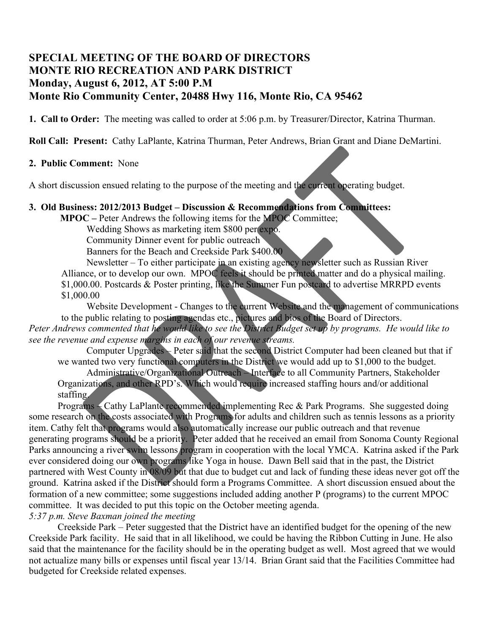## **SPECIAL MEETING OF THE BOARD OF DIRECTORS MONTE RIO RECREATION AND PARK DISTRICT Monday, August 6, 2012, AT 5:00 P.M Monte Rio Community Center, 20488 Hwy 116, Monte Rio, CA 95462**

**1. Call to Order:** The meeting was called to order at 5:06 p.m. by Treasurer/Director, Katrina Thurman.

**Roll Call: Present:** Cathy LaPlante, Katrina Thurman, Peter Andrews, Brian Grant and Diane DeMartini.

## **2. Public Comment:** None

A short discussion ensued relating to the purpose of the meeting and the current operating budget.

## **3. Old Business: 2012/2013 Budget – Discussion & Recommendations from Committees:**

**MPOC –** Peter Andrews the following items for the MPOC Committee;

Wedding Shows as marketing item \$800 per expo.

Community Dinner event for public outreach

Banners for the Beach and Creekside Park \$400.00

Newsletter – To either participate in an existing agency newsletter such as Russian River Alliance, or to develop our own. MPOC feels it should be printed matter and do a physical mailing. \$1,000.00. Postcards & Poster printing, like the Summer Fun postcard to advertise MRRPD events \$1,000.00

Website Development - Changes to the current Website and the management of communications to the public relating to posting agendas etc., pictures and bios of the Board of Directors. *Peter Andrews commented that he would like to see the District Budget set up by programs. He would like to see the revenue and expense margins in each of our revenue streams.*

Computer Upgrades – Peter said that the second District Computer had been cleaned but that if we wanted two very functional computers in the District we would add up to \$1,000 to the budget.

Administrative/Organizational Outreach – Interface to all Community Partners, Stakeholder Organizations, and other RPD's. Which would require increased staffing hours and/or additional staffing.

Programs – Cathy LaPlante recommended implementing Rec & Park Programs. She suggested doing some research on the costs associated with Programs for adults and children such as tennis lessons as a priority item. Cathy felt that programs would also automatically increase our public outreach and that revenue generating programs should be a priority. Peter added that he received an email from Sonoma County Regional Parks announcing a river swim lessons program in cooperation with the local YMCA. Katrina asked if the Park ever considered doing our own programs like Yoga in house. Dawn Bell said that in the past, the District partnered with West County in 08/09 but that due to budget cut and lack of funding these ideas never got off the ground. Katrina asked if the District should form a Programs Committee. A short discussion ensued about the formation of a new committee; some suggestions included adding another P (programs) to the current MPOC committee. It was decided to put this topic on the October meeting agenda.

*5:37 p.m. Steve Baxman joined the meeting*

Creekside Park – Peter suggested that the District have an identified budget for the opening of the new Creekside Park facility. He said that in all likelihood, we could be having the Ribbon Cutting in June. He also said that the maintenance for the facility should be in the operating budget as well. Most agreed that we would not actualize many bills or expenses until fiscal year 13/14. Brian Grant said that the Facilities Committee had budgeted for Creekside related expenses.